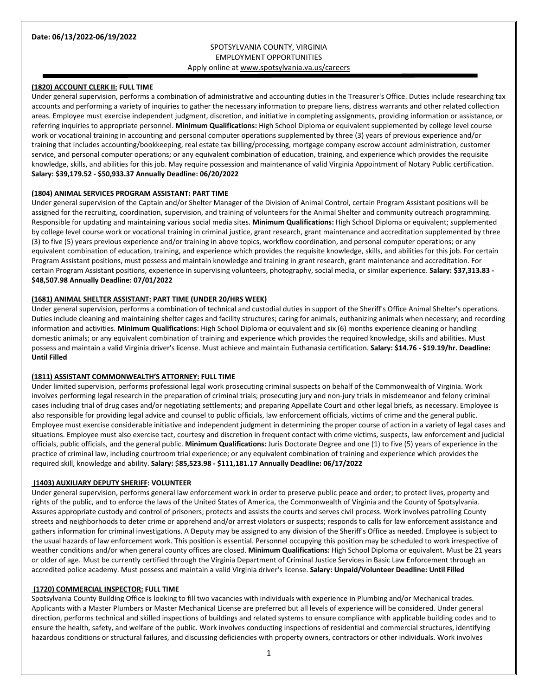# SPOTSYLVANIA COUNTY, VIRGINIA EMPLOYMENT OPPORTUNITIES Apply online a[t www.spotsylvania.va.us/careers](http://www.spotsylvania.va.us/careers)

# **(1820) ACCOUNT CLERK II: FULL TIME**

Under general supervision, performs a combination of administrative and accounting duties in the Treasurer's Office. Duties include researching tax accounts and performing a variety of inquiries to gather the necessary information to prepare liens, distress warrants and other related collection areas. Employee must exercise independent judgment, discretion, and initiative in completing assignments, providing information or assistance, or referring inquiries to appropriate personnel. **Minimum Qualifications:** High School Diploma or equivalent supplemented by college level course work or vocational training in accounting and personal computer operations supplemented by three (3) years of previous experience and/or training that includes accounting/bookkeeping, real estate tax billing/processing, mortgage company escrow account administration, customer service, and personal computer operations; or any equivalent combination of education, training, and experience which provides the requisite knowledge, skills, and abilities for this job. May require possession and maintenance of valid Virginia Appointment of Notary Public certification. **Salary: \$39,179.52 - \$50,933.37 Annually Deadline: 06/20/2022**

#### **(1804) ANIMAL SERVICES PROGRAM ASSISTANT: PART TIME**

Under general supervision of the Captain and/or Shelter Manager of the Division of Animal Control, certain Program Assistant positions will be assigned for the recruiting, coordination, supervision, and training of volunteers for the Animal Shelter and community outreach programming. Responsible for updating and maintaining various social media sites. **Minimum Qualifications:** High School Diploma or equivalent; supplemented by college level course work or vocational training in criminal justice, grant research, grant maintenance and accreditation supplemented by three (3) to five (5) years previous experience and/or training in above topics, workflow coordination, and personal computer operations; or any equivalent combination of education, training, and experience which provides the requisite knowledge, skills, and abilities for this job. For certain Program Assistant positions, must possess and maintain knowledge and training in grant research, grant maintenance and accreditation. For certain Program Assistant positions, experience in supervising volunteers, photography, social media, or similar experience. **Salary: \$37,313.83 - \$48,507.98 Annually Deadline: 07/01/2022**

#### **(1681) ANIMAL SHELTER ASSISTANT: PART TIME (UNDER 20/HRS WEEK)**

Under general supervision, performs a combination of technical and custodial duties in support of the Sheriff's Office Animal Shelter's operations. Duties include cleaning and maintaining shelter cages and facility structures; caring for animals, euthanizing animals when necessary; and recording information and activities. **Minimum Qualifications**: High School Diploma or equivalent and six (6) months experience cleaning or handling domestic animals; or any equivalent combination of training and experience which provides the required knowledge, skills and abilities. Must possess and maintain a valid Virginia driver's license. Must achieve and maintain Euthanasia certification. **Salary: \$14.76 - \$19.19/hr. Deadline: Until Filled**

#### **(1811) ASSISTANT COMMONWEALTH'S ATTORNEY: FULL TIME**

Under limited supervision, performs professional legal work prosecuting criminal suspects on behalf of the Commonwealth of Virginia. Work involves performing legal research in the preparation of criminal trials; prosecuting jury and non-jury trials in misdemeanor and felony criminal cases including trial of drug cases and/or negotiating settlements; and preparing Appellate Court and other legal briefs, as necessary. Employee is also responsible for providing legal advice and counsel to public officials, law enforcement officials, victims of crime and the general public. Employee must exercise considerable initiative and independent judgment in determining the proper course of action in a variety of legal cases and situations. Employee must also exercise tact, courtesy and discretion in frequent contact with crime victims, suspects, law enforcement and judicial officials, public officials, and the general public. **Minimum Qualifications:** Juris Doctorate Degree and one (1) to five (5) years of experience in the practice of criminal law, including courtroom trial experience; or any equivalent combination of training and experience which provides the required skill, knowledge and ability. **Salary:** \$**85,523.98 - \$111,181.17 Annually Deadline: 06/17/2022**

#### **(1403) AUXILIARY DEPUTY SHERIFF: VOLUNTEER**

Under general supervision, performs general law enforcement work in order to preserve public peace and order; to protect lives, property and rights of the public, and to enforce the laws of the United States of America, the Commonwealth of Virginia and the County of Spotsylvania. Assures appropriate custody and control of prisoners; protects and assists the courts and serves civil process. Work involves patrolling County streets and neighborhoods to deter crime or apprehend and/or arrest violators or suspects; responds to calls for law enforcement assistance and gathers information for criminal investigations. A Deputy may be assigned to any division of the Sheriff's Office as needed. Employee is subject to the usual hazards of law enforcement work. This position is essential. Personnel occupying this position may be scheduled to work irrespective of weather conditions and/or when general county offices are closed. **Minimum Qualifications:** High School Diploma or equivalent. Must be 21 years or older of age. Must be currently certified through the Virginia Department of Criminal Justice Services in Basic Law Enforcement through an accredited police academy. Must possess and maintain a valid Virginia driver's license. **Salary: Unpaid/Volunteer Deadline: Until Filled**

### **(1720) COMMERCIAL INSPECTOR: FULL TIME**

Spotsylvania County Building Office is looking to fill two vacancies with individuals with experience in Plumbing and/or Mechanical trades. Applicants with a Master Plumbers or Master Mechanical License are preferred but all levels of experience will be considered. Under general direction, performs technical and skilled inspections of buildings and related systems to ensure compliance with applicable building codes and to ensure the health, safety, and welfare of the public. Work involves conducting inspections of residential and commercial structures, identifying hazardous conditions or structural failures, and discussing deficiencies with property owners, contractors or other individuals. Work involves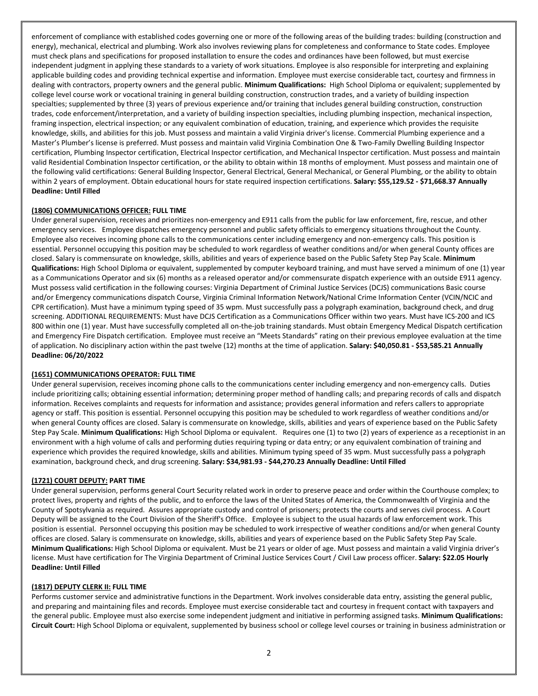enforcement of compliance with established codes governing one or more of the following areas of the building trades: building (construction and energy), mechanical, electrical and plumbing. Work also involves reviewing plans for completeness and conformance to State codes. Employee must check plans and specifications for proposed installation to ensure the codes and ordinances have been followed, but must exercise independent judgment in applying these standards to a variety of work situations. Employee is also responsible for interpreting and explaining applicable building codes and providing technical expertise and information. Employee must exercise considerable tact, courtesy and firmness in dealing with contractors, property owners and the general public. **Minimum Qualifications:** High School Diploma or equivalent; supplemented by college level course work or vocational training in general building construction, construction trades, and a variety of building inspection specialties; supplemented by three (3) years of previous experience and/or training that includes general building construction, construction trades, code enforcement/interpretation, and a variety of building inspection specialties, including plumbing inspection, mechanical inspection, framing inspection, electrical inspection; or any equivalent combination of education, training, and experience which provides the requisite knowledge, skills, and abilities for this job. Must possess and maintain a valid Virginia driver's license. Commercial Plumbing experience and a Master's Plumber's license is preferred. Must possess and maintain valid Virginia Combination One & Two-Family Dwelling Building Inspector certification, Plumbing Inspector certification, Electrical Inspector certification, and Mechanical Inspector certification. Must possess and maintain valid Residential Combination Inspector certification, or the ability to obtain within 18 months of employment. Must possess and maintain one of the following valid certifications: General Building Inspector, General Electrical, General Mechanical, or General Plumbing, or the ability to obtain within 2 years of employment. Obtain educational hours for state required inspection certifications. **Salary: \$55,129.52 - \$71,668.37 Annually Deadline: Until Filled**

# **(1806) COMMUNICATIONS OFFICER: FULL TIME**

Under general supervision, receives and prioritizes non-emergency and E911 calls from the public for law enforcement, fire, rescue, and other emergency services. Employee dispatches emergency personnel and public safety officials to emergency situations throughout the County. Employee also receives incoming phone calls to the communications center including emergency and non-emergency calls. This position is essential. Personnel occupying this position may be scheduled to work regardless of weather conditions and/or when general County offices are closed. Salary is commensurate on knowledge, skills, abilities and years of experience based on the Public Safety Step Pay Scale. **Minimum Qualifications:** High School Diploma or equivalent, supplemented by computer keyboard training, and must have served a minimum of one (1) year as a Communications Operator and six (6) months as a released operator and/or commensurate dispatch experience with an outside E911 agency. Must possess valid certification in the following courses: Virginia Department of Criminal Justice Services (DCJS) communications Basic course and/or Emergency communications dispatch Course, Virginia Criminal Information Network/National Crime Information Center (VCIN/NCIC and CPR certification). Must have a minimum typing speed of 35 wpm. Must successfully pass a polygraph examination, background check, and drug screening. ADDITIONAL REQUIREMENTS: Must have DCJS Certification as a Communications Officer within two years. Must have ICS-200 and ICS 800 within one (1) year. Must have successfully completed all on-the-job training standards. Must obtain Emergency Medical Dispatch certification and Emergency Fire Dispatch certification. Employee must receive an "Meets Standards" rating on their previous employee evaluation at the time of application. No disciplinary action within the past twelve (12) months at the time of application. **Salary: \$40,050.81 - \$53,585.21 Annually Deadline: 06/20/2022**

### **(1651) COMMUNICATIONS OPERATOR: FULL TIME**

Under general supervision, receives incoming phone calls to the communications center including emergency and non-emergency calls. Duties include prioritizing calls; obtaining essential information; determining proper method of handling calls; and preparing records of calls and dispatch information. Receives complaints and requests for information and assistance; provides general information and refers callers to appropriate agency or staff. This position is essential. Personnel occupying this position may be scheduled to work regardless of weather conditions and/or when general County offices are closed. Salary is commensurate on knowledge, skills, abilities and years of experience based on the Public Safety Step Pay Scale. **Minimum Qualifications:** High School Diploma or equivalent. Requires one (1) to two (2) years of experience as a receptionist in an environment with a high volume of calls and performing duties requiring typing or data entry; or any equivalent combination of training and experience which provides the required knowledge, skills and abilities. Minimum typing speed of 35 wpm. Must successfully pass a polygraph examination, background check, and drug screening. **Salary: \$34,981.93 - \$44,270.23 Annually Deadline: Until Filled**

### **(1721) COURT DEPUTY: PART TIME**

Under general supervision, performs general Court Security related work in order to preserve peace and order within the Courthouse complex; to protect lives, property and rights of the public, and to enforce the laws of the United States of America, the Commonwealth of Virginia and the County of Spotsylvania as required. Assures appropriate custody and control of prisoners; protects the courts and serves civil process. A Court Deputy will be assigned to the Court Division of the Sheriff's Office. Employee is subject to the usual hazards of law enforcement work. This position is essential. Personnel occupying this position may be scheduled to work irrespective of weather conditions and/or when general County offices are closed. Salary is commensurate on knowledge, skills, abilities and years of experience based on the Public Safety Step Pay Scale. **Minimum Qualifications:** High School Diploma or equivalent. Must be 21 years or older of age. Must possess and maintain a valid Virginia driver's license. Must have certification for The Virginia Department of Criminal Justice Services Court / Civil Law process officer. **Salary: \$22.05 Hourly Deadline: Until Filled**

#### **(1817) DEPUTY CLERK II: FULL TIME**

Performs customer service and administrative functions in the Department. Work involves considerable data entry, assisting the general public, and preparing and maintaining files and records. Employee must exercise considerable tact and courtesy in frequent contact with taxpayers and the general public. Employee must also exercise some independent judgment and initiative in performing assigned tasks. **Minimum Qualifications: Circuit Court:** High School Diploma or equivalent, supplemented by business school or college level courses or training in business administration or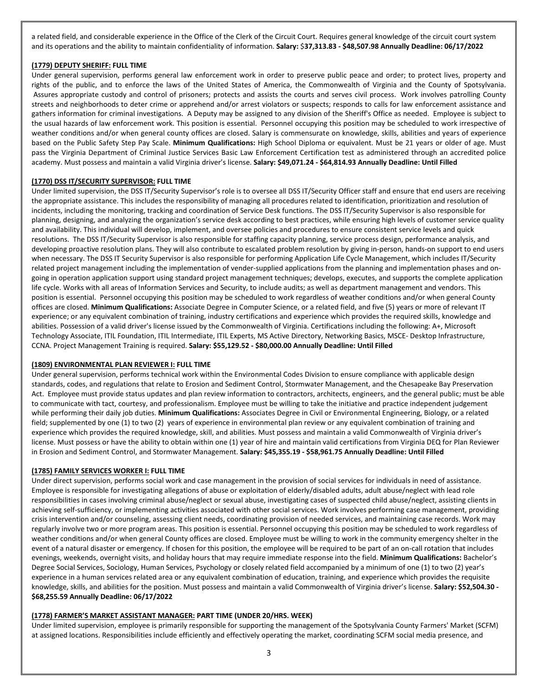a related field, and considerable experience in the Office of the Clerk of the Circuit Court. Requires general knowledge of the circuit court system and its operations and the ability to maintain confidentiality of information. **Salary:** \$**37,313.83 - \$48,507.98 Annually Deadline: 06/17/2022**

# **(1779) DEPUTY SHERIFF: FULL TIME**

Under general supervision, performs general law enforcement work in order to preserve public peace and order; to protect lives, property and rights of the public, and to enforce the laws of the United States of America, the Commonwealth of Virginia and the County of Spotsylvania. Assures appropriate custody and control of prisoners; protects and assists the courts and serves civil process. Work involves patrolling County streets and neighborhoods to deter crime or apprehend and/or arrest violators or suspects; responds to calls for law enforcement assistance and gathers information for criminal investigations. A Deputy may be assigned to any division of the Sheriff's Office as needed. Employee is subject to the usual hazards of law enforcement work. This position is essential. Personnel occupying this position may be scheduled to work irrespective of weather conditions and/or when general county offices are closed. Salary is commensurate on knowledge, skills, abilities and years of experience based on the Public Safety Step Pay Scale. **Minimum Qualifications:** High School Diploma or equivalent. Must be 21 years or older of age. Must pass the Virginia Department of Criminal Justice Services Basic Law Enforcement Certification test as administered through an accredited police academy. Must possess and maintain a valid Virginia driver's license. **Salary: \$49,071.24 - \$64,814.93 Annually Deadline: Until Filled**

# **(1770) DSS IT/SECURITY SUPERVISOR: FULL TIME**

Under limited supervision, the DSS IT/Security Supervisor's role is to oversee all DSS IT/Security Officer staff and ensure that end users are receiving the appropriate assistance. This includes the responsibility of managing all procedures related to identification, prioritization and resolution of incidents, including the monitoring, tracking and coordination of Service Desk functions. The DSS IT/Security Supervisor is also responsible for planning, designing, and analyzing the organization's service desk according to best practices, while ensuring high levels of customer service quality and availability. This individual will develop, implement, and oversee policies and procedures to ensure consistent service levels and quick resolutions. The DSS IT/Security Supervisor is also responsible for staffing capacity planning, service process design, performance analysis, and developing proactive resolution plans. They will also contribute to escalated problem resolution by giving in-person, hands-on support to end users when necessary. The DSS IT Security Supervisor is also responsible for performing Application Life Cycle Management, which includes IT/Security related project management including the implementation of vender-supplied applications from the planning and implementation phases and ongoing in operation application support using standard project management techniques; develops, executes, and supports the complete application life cycle. Works with all areas of Information Services and Security, to include audits; as well as department management and vendors. This position is essential. Personnel occupying this position may be scheduled to work regardless of weather conditions and/or when general County offices are closed. **Minimum Qualifications:** Associate Degree in Computer Science, or a related field, and five (5) years or more of relevant IT experience; or any equivalent combination of training, industry certifications and experience which provides the required skills, knowledge and abilities. Possession of a valid driver's license issued by the Commonwealth of Virginia. Certifications including the following: A+, Microsoft Technology Associate, ITIL Foundation, ITIL Intermediate, ITIL Experts, MS Active Directory, Networking Basics, MSCE- Desktop Infrastructure, CCNA. Project Management Training is required. **Salary: \$55,129.52 - \$80,000.00 Annually Deadline: Until Filled**

### **(1809) ENVIRONMENTAL PLAN REVIEWER I: FULL TIME**

Under general supervision, performs technical work within the Environmental Codes Division to ensure compliance with applicable design standards, codes, and regulations that relate to Erosion and Sediment Control, Stormwater Management, and the Chesapeake Bay Preservation Act. Employee must provide status updates and plan review information to contractors, architects, engineers, and the general public; must be able to communicate with tact, courtesy, and professionalism. Employee must be willing to take the initiative and practice independent judgement while performing their daily job duties. **Minimum Qualifications:** Associates Degree in Civil or Environmental Engineering, Biology, or a related field; supplemented by one (1) to two (2) years of experience in environmental plan review or any equivalent combination of training and experience which provides the required knowledge, skill, and abilities. Must possess and maintain a valid Commonwealth of Virginia driver's license. Must possess or have the ability to obtain within one (1) year of hire and maintain valid certifications from Virginia DEQ for Plan Reviewer in Erosion and Sediment Control, and Stormwater Management. **Salary: \$45,355.19 - \$58,961.75 Annually Deadline: Until Filled**

### **(1785) FAMILY SERVICES WORKER I: FULL TIME**

Under direct supervision, performs social work and case management in the provision of social services for individuals in need of assistance. Employee is responsible for investigating allegations of abuse or exploitation of elderly/disabled adults, adult abuse/neglect with lead role responsibilities in cases involving criminal abuse/neglect or sexual abuse, investigating cases of suspected child abuse/neglect, assisting clients in achieving self-sufficiency, or implementing activities associated with other social services. Work involves performing case management, providing crisis intervention and/or counseling, assessing client needs, coordinating provision of needed services, and maintaining case records. Work may regularly involve two or more program areas. This position is essential. Personnel occupying this position may be scheduled to work regardless of weather conditions and/or when general County offices are closed. Employee must be willing to work in the community emergency shelter in the event of a natural disaster or emergency. If chosen for this position, the employee will be required to be part of an on-call rotation that includes evenings, weekends, overnight visits, and holiday hours that may require immediate response into the field. **Minimum Qualifications:** Bachelor's Degree Social Services, Sociology, Human Services, Psychology or closely related field accompanied by a minimum of one (1) to two (2) year's experience in a human services related area or any equivalent combination of education, training, and experience which provides the requisite knowledge, skills, and abilities for the position. Must possess and maintain a valid Commonwealth of Virginia driver's license. **Salary: \$52,504.30 - \$68,255.59 Annually Deadline: 06/17/2022**

# **(1778) FARMER'S MARKET ASSISTANT MANAGER: PART TIME (UNDER 20/HRS. WEEK)**

Under limited supervision, employee is primarily responsible for supporting the management of the Spotsylvania County Farmers' Market (SCFM) at assigned locations. Responsibilities include efficiently and effectively operating the market, coordinating SCFM social media presence, and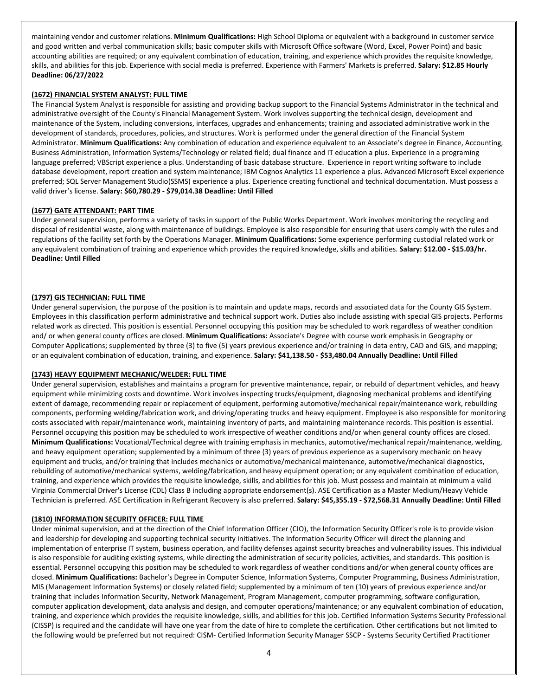maintaining vendor and customer relations. **Minimum Qualifications:** High School Diploma or equivalent with a background in customer service and good written and verbal communication skills; basic computer skills with Microsoft Office software (Word, Excel, Power Point) and basic accounting abilities are required; or any equivalent combination of education, training, and experience which provides the requisite knowledge, skills, and abilities for this job. Experience with social media is preferred. Experience with Farmers' Markets is preferred. **Salary: \$12.85 Hourly Deadline: 06/27/2022**

# **(1672) FINANCIAL SYSTEM ANALYST: FULL TIME**

The Financial System Analyst is responsible for assisting and providing backup support to the Financial Systems Administrator in the technical and administrative oversight of the County's Financial Management System. Work involves supporting the technical design, development and maintenance of the System, including conversions, interfaces, upgrades and enhancements; training and associated administrative work in the development of standards, procedures, policies, and structures. Work is performed under the general direction of the Financial System Administrator. **Minimum Qualifications:** Any combination of education and experience equivalent to an Associate's degree in Finance, Accounting, Business Administration, Information Systems/Technology or related field; dual finance and IT education a plus. Experience in a programing language preferred; VBScript experience a plus. Understanding of basic database structure. Experience in report writing software to include database development, report creation and system maintenance; IBM Cognos Analytics 11 experience a plus. Advanced Microsoft Excel experience preferred; SQL Server Management Studio(SSMS) experience a plus. Experience creating functional and technical documentation. Must possess a valid driver's license. **Salary: \$60,780.29 - \$79,014.38 Deadline: Until Filled**

# **(1677) GATE ATTENDANT: PART TIME**

Under general supervision, performs a variety of tasks in support of the Public Works Department. Work involves monitoring the recycling and disposal of residential waste, along with maintenance of buildings. Employee is also responsible for ensuring that users comply with the rules and regulations of the facility set forth by the Operations Manager. **Minimum Qualifications:** Some experience performing custodial related work or any equivalent combination of training and experience which provides the required knowledge, skills and abilities. **Salary: \$12.00 - \$15.03/hr. Deadline: Until Filled**

### **(1797) GIS TECHNICIAN: FULL TIME**

Under general supervision, the purpose of the position is to maintain and update maps, records and associated data for the County GIS System. Employees in this classification perform administrative and technical support work. Duties also include assisting with special GIS projects. Performs related work as directed. This position is essential. Personnel occupying this position may be scheduled to work regardless of weather condition and/ or when general county offices are closed. **Minimum Qualifications:** Associate's Degree with course work emphasis in Geography or Computer Applications; supplemented by three (3) to five (5) years previous experience and/or training in data entry, CAD and GIS, and mapping; or an equivalent combination of education, training, and experience. **Salary: \$41,138.50 - \$53,480.04 Annually Deadline: Until Filled**

### **(1743) HEAVY EQUIPMENT MECHANIC/WELDER: FULL TIME**

Under general supervision, establishes and maintains a program for preventive maintenance, repair, or rebuild of department vehicles, and heavy equipment while minimizing costs and downtime. Work involves inspecting trucks/equipment, diagnosing mechanical problems and identifying extent of damage, recommending repair or replacement of equipment, performing automotive/mechanical repair/maintenance work, rebuilding components, performing welding/fabrication work, and driving/operating trucks and heavy equipment. Employee is also responsible for monitoring costs associated with repair/maintenance work, maintaining inventory of parts, and maintaining maintenance records. This position is essential. Personnel occupying this position may be scheduled to work irrespective of weather conditions and/or when general county offices are closed. **Minimum Qualifications:** Vocational/Technical degree with training emphasis in mechanics, automotive/mechanical repair/maintenance, welding, and heavy equipment operation; supplemented by a minimum of three (3) years of previous experience as a supervisory mechanic on heavy equipment and trucks, and/or training that includes mechanics or automotive/mechanical maintenance, automotive/mechanical diagnostics, rebuilding of automotive/mechanical systems, welding/fabrication, and heavy equipment operation; or any equivalent combination of education, training, and experience which provides the requisite knowledge, skills, and abilities for this job. Must possess and maintain at minimum a valid Virginia Commercial Driver's License (CDL) Class B including appropriate endorsement(s). ASE Certification as a Master Medium/Heavy Vehicle Technician is preferred. ASE Certification in Refrigerant Recovery is also preferred. **Salary: \$45,355.19 - \$72,568.31 Annually Deadline: Until Filled**

### **(1810) INFORMATION SECURITY OFFICER: FULL TIME**

Under minimal supervision, and at the direction of the Chief Information Officer (CIO), the Information Security Officer's role is to provide vision and leadership for developing and supporting technical security initiatives. The Information Security Officer will direct the planning and implementation of enterprise IT system, business operation, and facility defenses against security breaches and vulnerability issues. This individual is also responsible for auditing existing systems, while directing the administration of security policies, activities, and standards. This position is essential. Personnel occupying this position may be scheduled to work regardless of weather conditions and/or when general county offices are closed. **Minimum Qualifications:** Bachelor's Degree in Computer Science, Information Systems, Computer Programming, Business Administration, MIS (Management Information Systems) or closely related field; supplemented by a minimum of ten (10) years of previous experience and/or training that includes Information Security, Network Management, Program Management, computer programming, software configuration, computer application development, data analysis and design, and computer operations/maintenance; or any equivalent combination of education, training, and experience which provides the requisite knowledge, skills, and abilities for this job. Certified Information Systems Security Professional (CISSP) is required and the candidate will have one year from the date of hire to complete the certification. Other certifications but not limited to the following would be preferred but not required: CISM- Certified Information Security Manager SSCP - Systems Security Certified Practitioner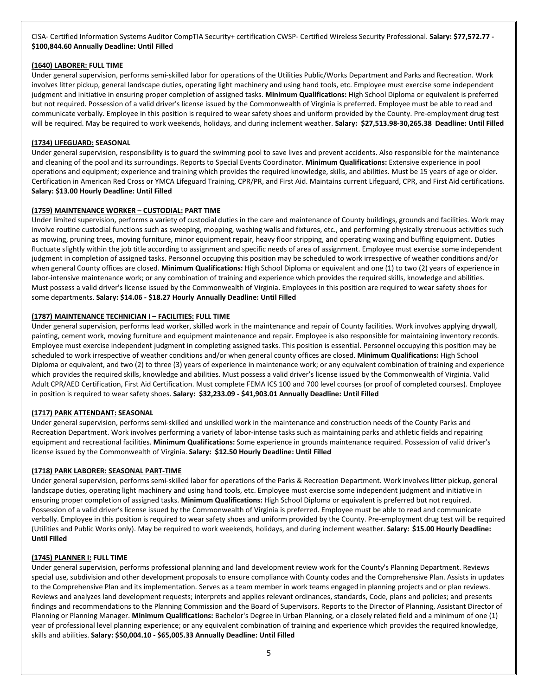CISA- Certified Information Systems Auditor CompTIA Security+ certification CWSP- Certified Wireless Security Professional. **Salary: \$77,572.77 - \$100,844.60 Annually Deadline: Until Filled**

# **(1640) LABORER: FULL TIME**

Under general supervision, performs semi-skilled labor for operations of the Utilities Public/Works Department and Parks and Recreation. Work involves litter pickup, general landscape duties, operating light machinery and using hand tools, etc. Employee must exercise some independent judgment and initiative in ensuring proper completion of assigned tasks. **Minimum Qualifications:** High School Diploma or equivalent is preferred but not required. Possession of a valid driver's license issued by the Commonwealth of Virginia is preferred. Employee must be able to read and communicate verbally. Employee in this position is required to wear safety shoes and uniform provided by the County. Pre-employment drug test will be required. May be required to work weekends, holidays, and during inclement weather. **Salary: \$27,513.98-30,265.38 Deadline: Until Filled**

### **(1734) LIFEGUARD: SEASONAL**

Under general supervision, responsibility is to guard the swimming pool to save lives and prevent accidents. Also responsible for the maintenance and cleaning of the pool and its surroundings. Reports to Special Events Coordinator. **Minimum Qualifications:** Extensive experience in pool operations and equipment; experience and training which provides the required knowledge, skills, and abilities. Must be 15 years of age or older. Certification in American Red Cross or YMCA Lifeguard Training, CPR/PR, and First Aid. Maintains current Lifeguard, CPR, and First Aid certifications. **Salary: \$13.00 Hourly Deadline: Until Filled**

# **(1759) MAINTENANCE WORKER – CUSTODIAL: PART TIME**

Under limited supervision, performs a variety of custodial duties in the care and maintenance of County buildings, grounds and facilities. Work may involve routine custodial functions such as sweeping, mopping, washing walls and fixtures, etc., and performing physically strenuous activities such as mowing, pruning trees, moving furniture, minor equipment repair, heavy floor stripping, and operating waxing and buffing equipment. Duties fluctuate slightly within the job title according to assignment and specific needs of area of assignment. Employee must exercise some independent judgment in completion of assigned tasks. Personnel occupying this position may be scheduled to work irrespective of weather conditions and/or when general County offices are closed. **Minimum Qualifications:** High School Diploma or equivalent and one (1) to two (2) years of experience in labor-intensive maintenance work; or any combination of training and experience which provides the required skills, knowledge and abilities. Must possess a valid driver's license issued by the Commonwealth of Virginia. Employees in this position are required to wear safety shoes for some departments. **Salary: \$14.06 - \$18.27 Hourly Annually Deadline: Until Filled**

# **(1787) MAINTENANCE TECHNICIAN I – FACILITIES: FULL TIME**

Under general supervision, performs lead worker, skilled work in the maintenance and repair of County facilities. Work involves applying drywall, painting, cement work, moving furniture and equipment maintenance and repair. Employee is also responsible for maintaining inventory records. Employee must exercise independent judgment in completing assigned tasks. This position is essential. Personnel occupying this position may be scheduled to work irrespective of weather conditions and/or when general county offices are closed. **Minimum Qualifications:** High School Diploma or equivalent, and two (2) to three (3) years of experience in maintenance work; or any equivalent combination of training and experience which provides the required skills, knowledge and abilities. Must possess a valid driver's license issued by the Commonwealth of Virginia. Valid Adult CPR/AED Certification, First Aid Certification. Must complete FEMA ICS 100 and 700 level courses (or proof of completed courses). Employee in position is required to wear safety shoes. **Salary: \$32,233.09 - \$41,903.01 Annually Deadline: Until Filled**

### **(1717) PARK ATTENDANT: SEASONAL**

Under general supervision, performs semi-skilled and unskilled work in the maintenance and construction needs of the County Parks and Recreation Department. Work involves performing a variety of labor-intense tasks such as maintaining parks and athletic fields and repairing equipment and recreational facilities. **Minimum Qualifications:** Some experience in grounds maintenance required. Possession of valid driver's license issued by the Commonwealth of Virginia. **Salary: \$12.50 Hourly Deadline: Until Filled**

### **(1718) PARK LABORER: SEASONAL PART-TIME**

Under general supervision, performs semi-skilled labor for operations of the Parks & Recreation Department. Work involves litter pickup, general landscape duties, operating light machinery and using hand tools, etc. Employee must exercise some independent judgment and initiative in ensuring proper completion of assigned tasks. **Minimum Qualifications:** High School Diploma or equivalent is preferred but not required. Possession of a valid driver's license issued by the Commonwealth of Virginia is preferred. Employee must be able to read and communicate verbally. Employee in this position is required to wear safety shoes and uniform provided by the County. Pre-employment drug test will be required (Utilities and Public Works only). May be required to work weekends, holidays, and during inclement weather. **Salary: \$15.00 Hourly Deadline: Until Filled**

### **(1745) PLANNER I: FULL TIME**

Under general supervision, performs professional planning and land development review work for the County's Planning Department. Reviews special use, subdivision and other development proposals to ensure compliance with County codes and the Comprehensive Plan. Assists in updates to the Comprehensive Plan and its implementation. Serves as a team member in work teams engaged in planning projects and or plan reviews. Reviews and analyzes land development requests; interprets and applies relevant ordinances, standards, Code, plans and policies; and presents findings and recommendations to the Planning Commission and the Board of Supervisors. Reports to the Director of Planning, Assistant Director of Planning or Planning Manager. **Minimum Qualifications:** Bachelor's Degree in Urban Planning, or a closely related field and a minimum of one (1) year of professional level planning experience; or any equivalent combination of training and experience which provides the required knowledge, skills and abilities. **Salary: \$50,004.10 - \$65,005.33 Annually Deadline: Until Filled**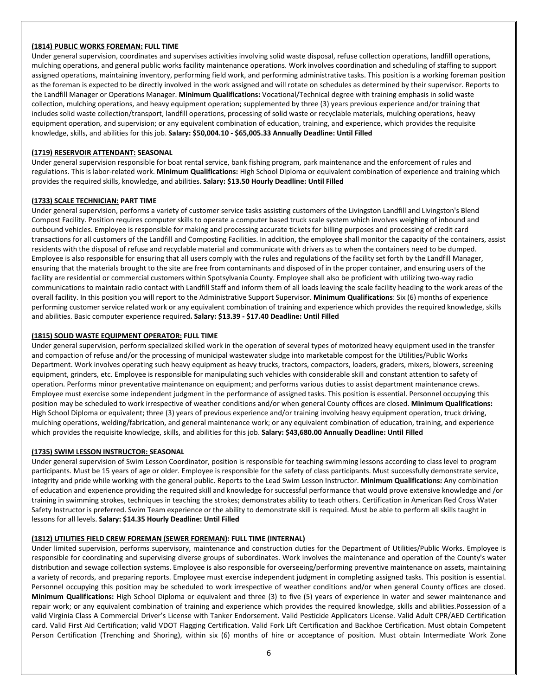# **(1814) PUBLIC WORKS FOREMAN: FULL TIME**

Under general supervision, coordinates and supervises activities involving solid waste disposal, refuse collection operations, landfill operations, mulching operations, and general public works facility maintenance operations. Work involves coordination and scheduling of staffing to support assigned operations, maintaining inventory, performing field work, and performing administrative tasks. This position is a working foreman position as the foreman is expected to be directly involved in the work assigned and will rotate on schedules as determined by their supervisor. Reports to the Landfill Manager or Operations Manager. **Minimum Qualifications:** Vocational/Technical degree with training emphasis in solid waste collection, mulching operations, and heavy equipment operation; supplemented by three (3) years previous experience and/or training that includes solid waste collection/transport, landfill operations, processing of solid waste or recyclable materials, mulching operations, heavy equipment operation, and supervision; or any equivalent combination of education, training, and experience, which provides the requisite knowledge, skills, and abilities for this job. **Salary: \$50,004.10 - \$65,005.33 Annually Deadline: Until Filled**

### **(1719) RESERVOIR ATTENDANT: SEASONAL**

Under general supervision responsible for boat rental service, bank fishing program, park maintenance and the enforcement of rules and regulations. This is labor-related work. **Minimum Qualifications:** High School Diploma or equivalent combination of experience and training which provides the required skills, knowledge, and abilities. **Salary: \$13.50 Hourly Deadline: Until Filled**

# **(1733) SCALE TECHNICIAN: PART TIME**

Under general supervision, performs a variety of customer service tasks assisting customers of the Livingston Landfill and Livingston's Blend Compost Facility. Position requires computer skills to operate a computer based truck scale system which involves weighing of inbound and outbound vehicles. Employee is responsible for making and processing accurate tickets for billing purposes and processing of credit card transactions for all customers of the Landfill and Composting Facilities. In addition, the employee shall monitor the capacity of the containers, assist residents with the disposal of refuse and recyclable material and communicate with drivers as to when the containers need to be dumped. Employee is also responsible for ensuring that all users comply with the rules and regulations of the facility set forth by the Landfill Manager, ensuring that the materials brought to the site are free from contaminants and disposed of in the proper container, and ensuring users of the facility are residential or commercial customers within Spotsylvania County. Employee shall also be proficient with utilizing two-way radio communications to maintain radio contact with Landfill Staff and inform them of all loads leaving the scale facility heading to the work areas of the overall facility. In this position you will report to the Administrative Support Supervisor. **Minimum Qualifications**: Six (6) months of experience performing customer service related work or any equivalent combination of training and experience which provides the required knowledge, skills and abilities. Basic computer experience required**. Salary: \$13.39 - \$17.40 Deadline: Until Filled**

### **(1815) SOLID WASTE EQUIPMENT OPERATOR: FULL TIME**

Under general supervision, perform specialized skilled work in the operation of several types of motorized heavy equipment used in the transfer and compaction of refuse and/or the processing of municipal wastewater sludge into marketable compost for the Utilities/Public Works Department. Work involves operating such heavy equipment as heavy trucks, tractors, compactors, loaders, graders, mixers, blowers, screening equipment, grinders, etc. Employee is responsible for manipulating such vehicles with considerable skill and constant attention to safety of operation. Performs minor preventative maintenance on equipment; and performs various duties to assist department maintenance crews. Employee must exercise some independent judgment in the performance of assigned tasks. This position is essential. Personnel occupying this position may be scheduled to work irrespective of weather conditions and/or when general County offices are closed. **Minimum Qualifications:** High School Diploma or equivalent; three (3) years of previous experience and/or training involving heavy equipment operation, truck driving, mulching operations, welding/fabrication, and general maintenance work; or any equivalent combination of education, training, and experience which provides the requisite knowledge, skills, and abilities for this job. **Salary: \$43,680.00 Annually Deadline: Until Filled**

### **(1735) SWIM LESSON INSTRUCTOR: SEASONAL**

Under general supervision of Swim Lesson Coordinator, position is responsible for teaching swimming lessons according to class level to program participants. Must be 15 years of age or older. Employee is responsible for the safety of class participants. Must successfully demonstrate service, integrity and pride while working with the general public. Reports to the Lead Swim Lesson Instructor. **Minimum Qualifications:** Any combination of education and experience providing the required skill and knowledge for successful performance that would prove extensive knowledge and /or training in swimming strokes, techniques in teaching the strokes; demonstrates ability to teach others. Certification in American Red Cross Water Safety Instructor is preferred. Swim Team experience or the ability to demonstrate skill is required. Must be able to perform all skills taught in lessons for all levels. **Salary: \$14.35 Hourly Deadline: Until Filled**

### **(1812) UTILITIES FIELD CREW FOREMAN (SEWER FOREMAN): FULL TIME (INTERNAL)**

Under limited supervision, performs supervisory, maintenance and construction duties for the Department of Utilities/Public Works. Employee is responsible for coordinating and supervising diverse groups of subordinates. Work involves the maintenance and operation of the County's water distribution and sewage collection systems. Employee is also responsible for overseeing/performing preventive maintenance on assets, maintaining a variety of records, and preparing reports. Employee must exercise independent judgment in completing assigned tasks. This position is essential. Personnel occupying this position may be scheduled to work irrespective of weather conditions and/or when general County offices are closed. **Minimum Qualifications:** High School Diploma or equivalent and three (3) to five (5) years of experience in water and sewer maintenance and repair work; or any equivalent combination of training and experience which provides the required knowledge, skills and abilities.Possession of a valid Virginia Class A Commercial Driver's License with Tanker Endorsement. Valid Pesticide Applicators License. Valid Adult CPR/AED Certification card. Valid First Aid Certification; valid VDOT Flagging Certification. Valid Fork Lift Certification and Backhoe Certification. Must obtain Competent Person Certification (Trenching and Shoring), within six (6) months of hire or acceptance of position. Must obtain Intermediate Work Zone